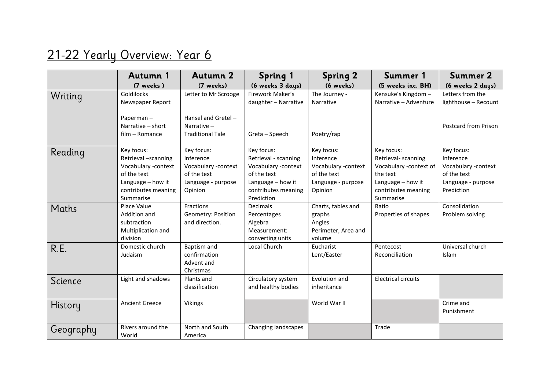## 21-22 Yearly Overview: Year 6

|           | Autumn 1                                                                                                                         | <b>Autumn 2</b>                                                                                | <b>Spring 1</b>                                                                                                                    | <b>Spring 2</b>                                                                                | Summer 1                                                                                                                         | Summer 2                                                                                          |
|-----------|----------------------------------------------------------------------------------------------------------------------------------|------------------------------------------------------------------------------------------------|------------------------------------------------------------------------------------------------------------------------------------|------------------------------------------------------------------------------------------------|----------------------------------------------------------------------------------------------------------------------------------|---------------------------------------------------------------------------------------------------|
|           | (7 weeks)                                                                                                                        | (7 weeks)                                                                                      | (6 weeks 3 days)                                                                                                                   | (6 weeks)                                                                                      | (5 weeks inc. BH)                                                                                                                | (6 weeks 2 days)                                                                                  |
| Writing   | Goldilocks<br>Newspaper Report                                                                                                   | Letter to Mr Scrooge                                                                           | Firework Maker's<br>daughter - Narrative                                                                                           | The Journey -<br>Narrative                                                                     | Kensuke's Kingdom -<br>Narrative - Adventure                                                                                     | Letters from the<br>lighthouse - Recount                                                          |
|           | Paperman-<br>Narrative - short<br>film - Romance                                                                                 | Hansel and Gretel -<br>Narrative $-$<br><b>Traditional Tale</b>                                | Greta - Speech                                                                                                                     | Poetry/rap                                                                                     |                                                                                                                                  | <b>Postcard from Prison</b>                                                                       |
| Reading   | Key focus:<br>Retrieval -scanning<br>Vocabulary -context<br>of the text<br>Language - how it<br>contributes meaning<br>Summarise | Key focus:<br>Inference<br>Vocabulary -context<br>of the text<br>Language - purpose<br>Opinion | Key focus:<br>Retrieval - scanning<br>Vocabulary -context<br>of the text<br>Language - how it<br>contributes meaning<br>Prediction | Key focus:<br>Inference<br>Vocabulary -context<br>of the text<br>Language - purpose<br>Opinion | Key focus:<br>Retrieval- scanning<br>Vocabulary -context of<br>the text<br>Language - how it<br>contributes meaning<br>Summarise | Key focus:<br>Inference<br>Vocabulary -context<br>of the text<br>Language - purpose<br>Prediction |
| Maths     | Place Value<br>Addition and<br>subtraction<br>Multiplication and<br>division                                                     | Fractions<br>Geometry: Position<br>and direction.                                              | Decimals<br>Percentages<br>Algebra<br>Measurement:<br>converting units                                                             | Charts, tables and<br>graphs<br>Angles<br>Perimeter, Area and<br>volume                        | Ratio<br>Properties of shapes                                                                                                    | Consolidation<br>Problem solving                                                                  |
| R.E.      | Domestic church<br>Judaism                                                                                                       | Baptism and<br>confirmation<br>Advent and<br>Christmas                                         | Local Church                                                                                                                       | Eucharist<br>Lent/Easter                                                                       | Pentecost<br>Reconciliation                                                                                                      | Universal church<br>Islam                                                                         |
| Science   | Light and shadows                                                                                                                | Plants and<br>classification                                                                   | Circulatory system<br>and healthy bodies                                                                                           | Evolution and<br>inheritance                                                                   | <b>Electrical circuits</b>                                                                                                       |                                                                                                   |
| History   | <b>Ancient Greece</b>                                                                                                            | <b>Vikings</b>                                                                                 |                                                                                                                                    | World War II                                                                                   |                                                                                                                                  | Crime and<br>Punishment                                                                           |
| Geography | Rivers around the<br>World                                                                                                       | North and South<br>America                                                                     | Changing landscapes                                                                                                                |                                                                                                | Trade                                                                                                                            |                                                                                                   |